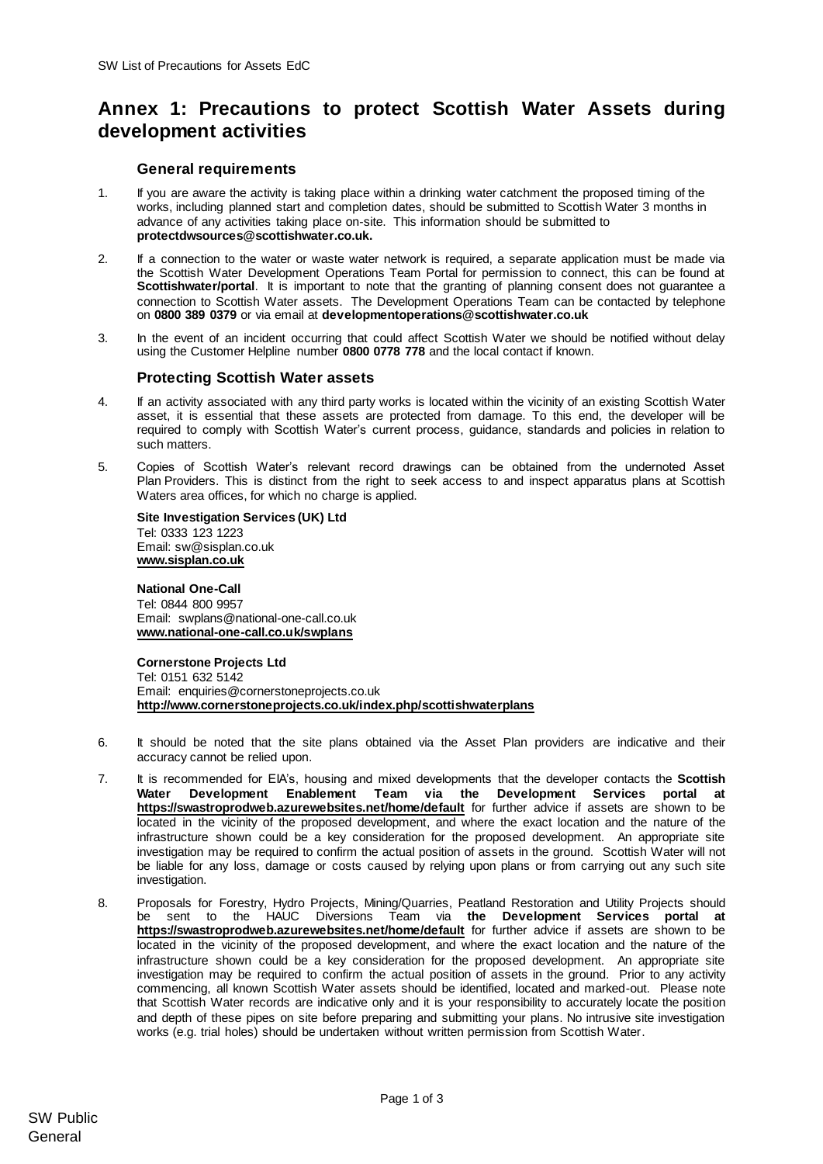## **Annex 1: Precautions to protect Scottish Water Assets during development activities**

## **General requirements**

- 1. If you are aware the activity is taking place within a drinking water catchment the proposed timing of the works, including planned start and completion dates, should be submitted to Scottish Water 3 months in advance of any activities taking place on-site. This information should be submitted to **protectdwsources@scottishwater.co.uk.**
- 2. If a connection to the water or waste water network is required, a separate application must be made via the Scottish Water Development Operations Team Portal for permission to connect, this can be found at **Scottishwater/portal**. It is important to note that the granting of planning consent does not guarantee a connection to Scottish Water assets. The Development Operations Team can be contacted by telephone on **0800 389 0379** or via email at **[developmentoperations@scottishwater.co.uk](mailto:developmentoperations@scottishwater.co.uk)**
- 3. In the event of an incident occurring that could affect Scottish Water we should be notified without delay using the Customer Helpline number **0800 0778 778** and the local contact if known.

## **Protecting Scottish Water assets**

- 4. If an activity associated with any third party works is located within the vicinity of an existing Scottish Water asset, it is essential that these assets are protected from damage. To this end, the developer will be required to comply with Scottish Water's current process, guidance, standards and policies in relation to such matters.
- 5. Copies of Scottish Water's relevant record drawings can be obtained from the undernoted Asset Plan Providers. This is distinct from the right to seek access to and inspect apparatus plans at Scottish Waters area offices, for which no charge is applied.

**Site Investigation Services (UK) Ltd** Tel: 0333 123 1223 Email: sw@sisplan.co.uk **[www.sisplan.co.uk](http://www.sisplan.co.uk/)**

## **National One-Call**

Tel: 0844 800 9957 Email: swplans@national-one-call.co.uk **[www.national-one-call.co.uk/swplans](http://www.national-one-call.co.uk/swplans)**

**Cornerstone Projects Ltd**  Tel: 0151 632 5142 Email: [enquiries@cornerstoneprojects.co.uk](mailto:enquiries@cornerstoneprojects.co.uk) **http://www.cornerstoneprojects.co.uk/index.php/scottishwaterplans**

- 6. It should be noted that the site plans obtained via the Asset Plan providers are indicative and their accuracy cannot be relied upon.
- 7. It is recommended for EIA's, housing and mixed developments that the developer contacts the **Scottish Water [Development](mailto:Development) Enablement Team via the Development Services portal at <https://swastroprodweb.azurewebsites.net/home/default>** for further advice if assets are shown to be located in the vicinity of the proposed development, and where the exact location and the nature of the infrastructure shown could be a key consideration for the proposed development. An appropriate site investigation may be required to confirm the actual position of assets in the ground. Scottish Water will not be liable for any loss, damage or costs caused by relying upon plans or from carrying out any such site investigation.
- 8. Proposals for Forestry, Hydro Projects, Mining/Quarries, Peatland Restoration and Utility Projects should be sent to the HAUC Diversions Team via **[the](mailto:Hauc.diversions@scottishwater.co.uk) Development Services portal at <https://swastroprodweb.azurewebsites.net/home/default>** for further advice if assets are shown to be located in the vicinity of the proposed development, and where the exact location and the nature of the infrastructure shown could be a key consideration for the proposed development. An appropriate site investigation may be required to confirm the actual position of assets in the ground. Prior to any activity commencing, all known Scottish Water assets should be identified, located and marked-out. Please note that Scottish Water records are indicative only and it is your responsibility to accurately locate the position and depth of these pipes on site before preparing and submitting your plans. No intrusive site investigation works (e.g. trial holes) should be undertaken without written permission from Scottish Water.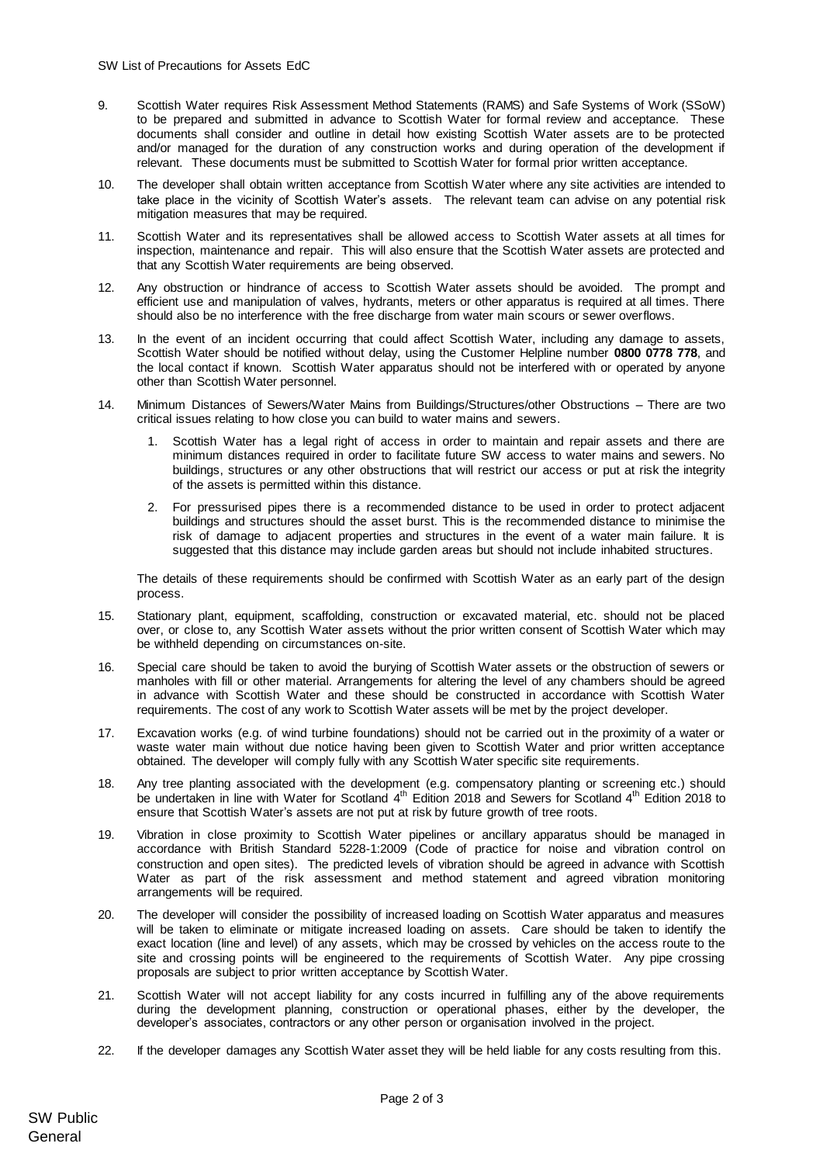- 9. Scottish Water requires Risk Assessment Method Statements (RAMS) and Safe Systems of Work (SSoW) to be prepared and submitted in advance to Scottish Water for formal review and acceptance. These documents shall consider and outline in detail how existing Scottish Water assets are to be protected and/or managed for the duration of any construction works and during operation of the development if relevant. These documents must be submitted to Scottish Water for formal prior written acceptance.
- 10. The developer shall obtain written acceptance from Scottish Water where any site activities are intended to take place in the vicinity of Scottish Water's assets. The relevant team can advise on any potential risk mitigation measures that may be required.
- 11. Scottish Water and its representatives shall be allowed access to Scottish Water assets at all times for inspection, maintenance and repair. This will also ensure that the Scottish Water assets are protected and that any Scottish Water requirements are being observed.
- 12. Any obstruction or hindrance of access to Scottish Water assets should be avoided. The prompt and efficient use and manipulation of valves, hydrants, meters or other apparatus is required at all times. There should also be no interference with the free discharge from water main scours or sewer overflows.
- 13. In the event of an incident occurring that could affect Scottish Water, including any damage to assets, Scottish Water should be notified without delay, using the Customer Helpline number **0800 0778 778**, and the local contact if known. Scottish Water apparatus should not be interfered with or operated by anyone other than Scottish Water personnel.
- 14. Minimum Distances of Sewers/Water Mains from Buildings/Structures/other Obstructions There are two critical issues relating to how close you can build to water mains and sewers.
	- 1. Scottish Water has a legal right of access in order to maintain and repair assets and there are minimum distances required in order to facilitate future SW access to water mains and sewers. No buildings, structures or any other obstructions that will restrict our access or put at risk the integrity of the assets is permitted within this distance.
	- 2. For pressurised pipes there is a recommended distance to be used in order to protect adjacent buildings and structures should the asset burst. This is the recommended distance to minimise the risk of damage to adjacent properties and structures in the event of a water main failure. It is suggested that this distance may include garden areas but should not include inhabited structures.

The details of these requirements should be confirmed with Scottish Water as an early part of the design process.

- 15. Stationary plant, equipment, scaffolding, construction or excavated material, etc. should not be placed over, or close to, any Scottish Water assets without the prior written consent of Scottish Water which may be withheld depending on circumstances on-site.
- 16. Special care should be taken to avoid the burying of Scottish Water assets or the obstruction of sewers or manholes with fill or other material. Arrangements for altering the level of any chambers should be agreed in advance with Scottish Water and these should be constructed in accordance with Scottish Water requirements. The cost of any work to Scottish Water assets will be met by the project developer.
- 17. Excavation works (e.g. of wind turbine foundations) should not be carried out in the proximity of a water or waste water main without due notice having been given to Scottish Water and prior written acceptance obtained. The developer will comply fully with any Scottish Water specific site requirements.
- 18. Any tree planting associated with the development (e.g. compensatory planting or screening etc.) should be undertaken in line with Water for Scotland 4<sup>th</sup> Edition 2018 and Sewers for Scotland 4<sup>th</sup> Edition 2018 to ensure that Scottish Water's assets are not put at risk by future growth of tree roots.
- 19. Vibration in close proximity to Scottish Water pipelines or ancillary apparatus should be managed in accordance with British Standard 5228-1:2009 (Code of practice for noise and vibration control on construction and open sites). The predicted levels of vibration should be agreed in advance with Scottish Water as part of the risk assessment and method statement and agreed vibration monitoring arrangements will be required.
- 20. The developer will consider the possibility of increased loading on Scottish Water apparatus and measures will be taken to eliminate or mitigate increased loading on assets. Care should be taken to identify the exact location (line and level) of any assets, which may be crossed by vehicles on the access route to the site and crossing points will be engineered to the requirements of Scottish Water. Any pipe crossing proposals are subject to prior written acceptance by Scottish Water.
- 21. Scottish Water will not accept liability for any costs incurred in fulfilling any of the above requirements during the development planning, construction or operational phases, either by the developer, the developer's associates, contractors or any other person or organisation involved in the project.
- 22. If the developer damages any Scottish Water asset they will be held liable for any costs resulting from this.